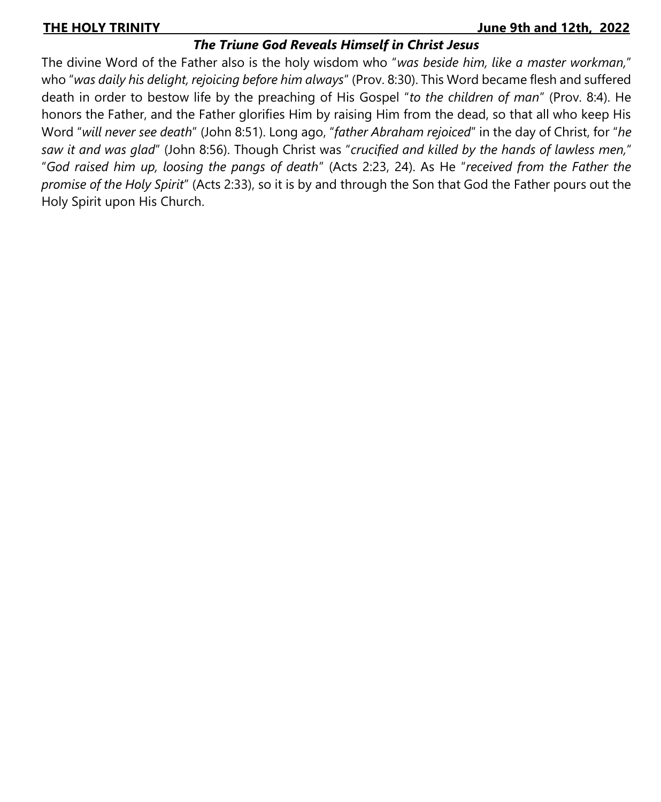#### **THE HOLY TRINITY\_\_\_\_\_\_\_\_\_\_\_\_\_\_\_\_\_\_\_\_\_\_\_\_\_\_\_\_\_\_\_\_\_\_\_\_\_\_\_\_\_\_\_\_\_\_\_\_\_\_\_\_\_\_\_\_\_ June 9th and 12th, 2022**

# *The Triune God Reveals Himself in Christ Jesus*

The divine Word of the Father also is the holy wisdom who "*was beside him, like a master workman,*" who "*was daily his delight, rejoicing before him always*" (Prov. 8:30). This Word became flesh and suffered death in order to bestow life by the preaching of His Gospel "*to the children of man*" (Prov. 8:4). He honors the Father, and the Father glorifies Him by raising Him from the dead, so that all who keep His Word "*will never see death*" (John 8:51). Long ago, "*father Abraham rejoiced*" in the day of Christ, for "*he saw it and was glad*" (John 8:56). Though Christ was "*crucified and killed by the hands of lawless men,*" "*God raised him up, loosing the pangs of death*" (Acts 2:23, 24). As He "*received from the Father the promise of the Holy Spirit*" (Acts 2:33), so it is by and through the Son that God the Father pours out the Holy Spirit upon His Church.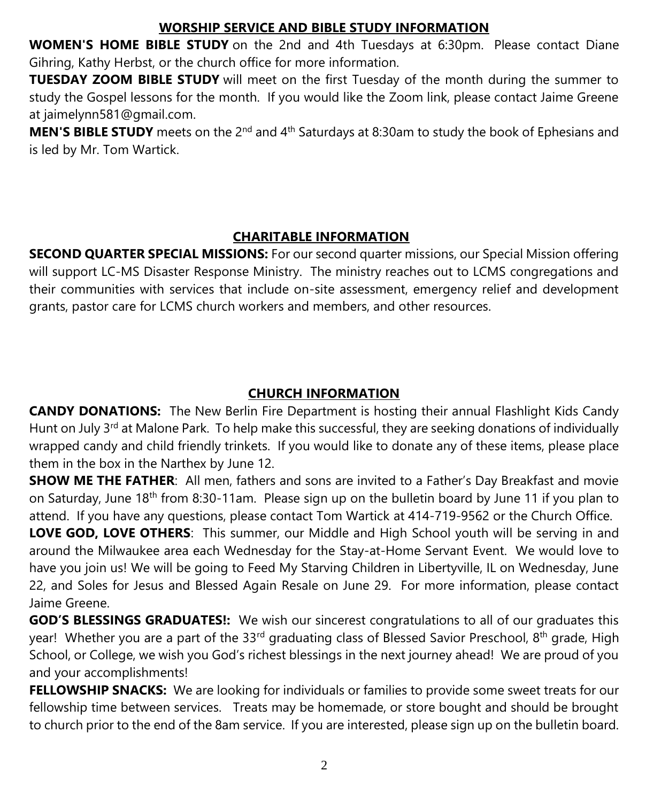# **WORSHIP SERVICE AND BIBLE STUDY INFORMATION**

**WOMEN'S HOME BIBLE STUDY** on the 2nd and 4th Tuesdays at 6:30pm. Please contact Diane Gihring, Kathy Herbst, or the church office for more information.

**TUESDAY ZOOM BIBLE STUDY** will meet on the first Tuesday of the month during the summer to study the Gospel lessons for the month. If you would like the Zoom link, please contact Jaime Greene at jaimelynn581@gmail.com.

**MEN'S BIBLE STUDY** meets on the 2<sup>nd</sup> and 4<sup>th</sup> Saturdays at 8:30am to study the book of Ephesians and is led by Mr. Tom Wartick.

# **CHARITABLE INFORMATION**

**SECOND QUARTER SPECIAL MISSIONS:** For our second quarter missions, our Special Mission offering will support LC-MS Disaster Response Ministry. The ministry reaches out to LCMS congregations and their communities with services that include on-site assessment, emergency relief and development grants, pastor care for LCMS church workers and members, and other resources.

# **CHURCH INFORMATION**

**CANDY DONATIONS:** The New Berlin Fire Department is hosting their annual Flashlight Kids Candy Hunt on July 3<sup>rd</sup> at Malone Park. To help make this successful, they are seeking donations of individually wrapped candy and child friendly trinkets. If you would like to donate any of these items, please place them in the box in the Narthex by June 12.

**SHOW ME THE FATHER**: All men, fathers and sons are invited to a Father's Day Breakfast and movie on Saturday, June 18<sup>th</sup> from 8:30-11am. Please sign up on the bulletin board by June 11 if you plan to attend. If you have any questions, please contact Tom Wartick at 414-719-9562 or the Church Office.

**LOVE GOD, LOVE OTHERS**: This summer, our Middle and High School youth will be serving in and around the Milwaukee area each Wednesday for the Stay-at-Home Servant Event. We would love to have you join us! We will be going to Feed My Starving Children in Libertyville, IL on Wednesday, June 22, and Soles for Jesus and Blessed Again Resale on June 29. For more information, please contact Jaime Greene.

**GOD'S BLESSINGS GRADUATES!:** We wish our sincerest congratulations to all of our graduates this year! Whether you are a part of the 33<sup>rd</sup> graduating class of Blessed Savior Preschool, 8<sup>th</sup> grade, High School, or College, we wish you God's richest blessings in the next journey ahead! We are proud of you and your accomplishments!

**FELLOWSHIP SNACKS:** We are looking for individuals or families to provide some sweet treats for our fellowship time between services. Treats may be homemade, or store bought and should be brought to church prior to the end of the 8am service. If you are interested, please sign up on the bulletin board.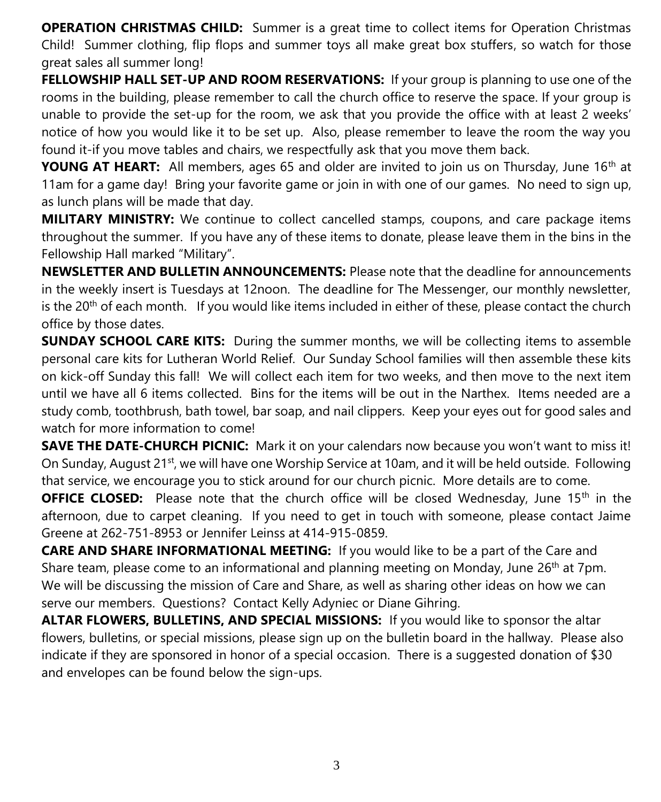**OPERATION CHRISTMAS CHILD:** Summer is a great time to collect items for Operation Christmas Child! Summer clothing, flip flops and summer toys all make great box stuffers, so watch for those great sales all summer long!

FELLOWSHIP HALL SET-UP AND ROOM RESERVATIONS: If your group is planning to use one of the rooms in the building, please remember to call the church office to reserve the space. If your group is unable to provide the set-up for the room, we ask that you provide the office with at least 2 weeks' notice of how you would like it to be set up. Also, please remember to leave the room the way you found it-if you move tables and chairs, we respectfully ask that you move them back.

**YOUNG AT HEART:** All members, ages 65 and older are invited to join us on Thursday, June 16<sup>th</sup> at 11am for a game day! Bring your favorite game or join in with one of our games. No need to sign up, as lunch plans will be made that day.

**MILITARY MINISTRY:** We continue to collect cancelled stamps, coupons, and care package items throughout the summer. If you have any of these items to donate, please leave them in the bins in the Fellowship Hall marked "Military".

**NEWSLETTER AND BULLETIN ANNOUNCEMENTS:** Please note that the deadline for announcements in the weekly insert is Tuesdays at 12noon. The deadline for The Messenger, our monthly newsletter, is the  $20<sup>th</sup>$  of each month. If you would like items included in either of these, please contact the church office by those dates.

**SUNDAY SCHOOL CARE KITS:** During the summer months, we will be collecting items to assemble personal care kits for Lutheran World Relief. Our Sunday School families will then assemble these kits on kick-off Sunday this fall! We will collect each item for two weeks, and then move to the next item until we have all 6 items collected. Bins for the items will be out in the Narthex. Items needed are a study comb, toothbrush, bath towel, bar soap, and nail clippers. Keep your eyes out for good sales and watch for more information to come!

**SAVE THE DATE-CHURCH PICNIC:** Mark it on your calendars now because you won't want to miss it! On Sunday, August 21<sup>st</sup>, we will have one Worship Service at 10am, and it will be held outside. Following that service, we encourage you to stick around for our church picnic. More details are to come.

**OFFICE CLOSED:** Please note that the church office will be closed Wednesday, June 15<sup>th</sup> in the afternoon, due to carpet cleaning. If you need to get in touch with someone, please contact Jaime Greene at 262-751-8953 or Jennifer Leinss at 414-915-0859.

**CARE AND SHARE INFORMATIONAL MEETING:** If you would like to be a part of the Care and Share team, please come to an informational and planning meeting on Monday, June  $26<sup>th</sup>$  at 7pm. We will be discussing the mission of Care and Share, as well as sharing other ideas on how we can serve our members. Questions? Contact Kelly Adyniec or Diane Gihring.

**ALTAR FLOWERS, BULLETINS, AND SPECIAL MISSIONS:** If you would like to sponsor the altar flowers, bulletins, or special missions, please sign up on the bulletin board in the hallway. Please also indicate if they are sponsored in honor of a special occasion. There is a suggested donation of \$30 and envelopes can be found below the sign-ups.